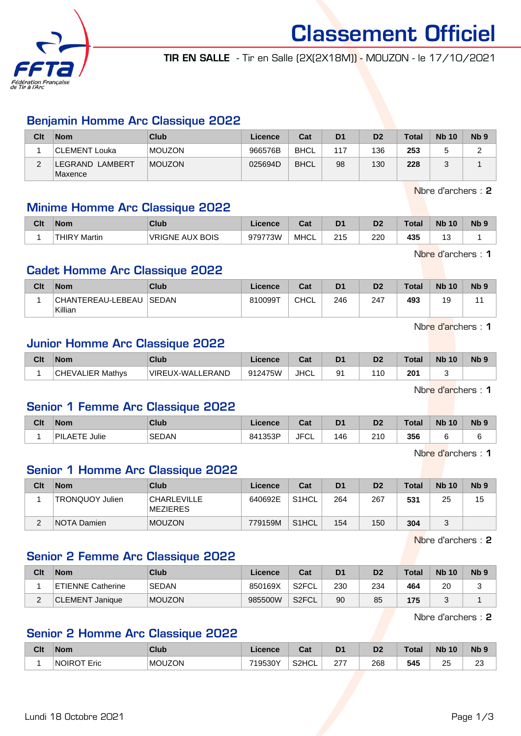

Classement Officiel TIR EN SALLE - Tir en Salle (2X(2X18M)) - MOUZON - le 17/10/2021

# Benjamin Homme Arc Classique 2022

| Clt | <b>Nom</b>                 | Club          | Licence | Cat         | D <sub>1</sub> | D <sub>2</sub> | <b>Total</b> | <b>Nb 10</b> | N <sub>b</sub> 9 |
|-----|----------------------------|---------------|---------|-------------|----------------|----------------|--------------|--------------|------------------|
|     | CLEMENT Louka              | <b>MOUZON</b> | 966576B | <b>BHCL</b> | 117            | 136            | 253          |              |                  |
| ∼   | LEGRAND LAMBERT<br>Maxence | <b>MOUZON</b> | 025694D | <b>BHCL</b> | 98             | 130            | 228          |              |                  |

Nbre d'archers : 2

## Minime Homme Arc Classique 2022

| Clt | Nom                    | <b>Club</b>            | Licence | ∩~∙<br>⊍aι | D <sub>1</sub>     | D <sub>2</sub> | Гotal | <b>Nb</b><br>10 | $Nb$ ? |
|-----|------------------------|------------------------|---------|------------|--------------------|----------------|-------|-----------------|--------|
|     | <b>THIRY</b><br>Martin | <b>VRIGNE AUX BOIS</b> | 979773W | MHCL       | つイベ<br>ں ہے<br>___ | 220            | 435   | ں ا             |        |

Nbre d'archers : 1

## Cadet Homme Arc Classique 2022

| Clt | <b>Nom</b>                   | Club         | Licence | Cat         | D <sub>1</sub> | D2  | Total | <b>Nb 10</b> | N <sub>b</sub> <sub>9</sub> |
|-----|------------------------------|--------------|---------|-------------|----------------|-----|-------|--------------|-----------------------------|
|     | CHANTEREAU-LEBEAU<br>Killian | <b>SEDAN</b> | 810099T | <b>CHCL</b> | 246            | 247 | 493   | 19           |                             |

Nbre d'archers : 1

## Junior Homme Arc Classique 2022

| Clt | <b>Nom</b>              | Club             | Licence | <b>Tat</b><br>uai | D <sub>1</sub> | D <sub>2</sub> | Total | <b>Nb</b><br>10 | N <sub>b</sub> <sub>9</sub> |
|-----|-------------------------|------------------|---------|-------------------|----------------|----------------|-------|-----------------|-----------------------------|
|     | <b>CHEVALIER Mathvs</b> | VIREUX-WALLERAND | 912475W | <b>JHCL</b>       | Q1             | 11C            | 201   |                 |                             |

Nbre d'archers : 1

#### Senior 1 Femme Arc Classique 2022

| Clt | <b>Nom</b>                    | Club         | ∠icence | <b>Post</b><br>ual | D <sub>1</sub> | D <sub>2</sub> | Total | <b>N<sub>b</sub></b><br>10 <sup>°</sup> | N <sub>b</sub> <sub>9</sub> |
|-----|-------------------------------|--------------|---------|--------------------|----------------|----------------|-------|-----------------------------------------|-----------------------------|
|     | Julie<br><b>AETE</b><br>`PIL. | <b>SEDAN</b> | 841353P | <b>JFCL</b>        | 146            | 210<br>∠⊥∪     | 356   |                                         |                             |

Nbre d'archers : 1

# Senior 1 Homme Arc Classique 2022

| Clt | <b>Nom</b>             | Club                           | Licence | Cat                | D <sub>1</sub> | D <sub>2</sub> | <b>Total</b> | <b>Nb 10</b> | N <sub>b</sub> <sub>9</sub> |
|-----|------------------------|--------------------------------|---------|--------------------|----------------|----------------|--------------|--------------|-----------------------------|
|     | <b>TRONQUOY Julien</b> | <b>CHARLEVILLE</b><br>MEZIERES | 640692E | S <sub>1</sub> HCL | 264            | 267            | 531          | 25           | 15                          |
| ৴   | <b>NOTA Damien</b>     | <b>MOUZON</b>                  | 779159M | S <sub>1</sub> HCL | 154            | 150            | 304          |              |                             |

Nbre d'archers : 2

#### Senior 2 Femme Arc Classique 2022

| Clt      | <b>Nom</b>               | Club          | Licence | Cat                | D <sub>1</sub> | D2  | <b>Total</b> | <b>Nb 10</b> | N <sub>b</sub> <sub>9</sub> |
|----------|--------------------------|---------------|---------|--------------------|----------------|-----|--------------|--------------|-----------------------------|
|          | <b>ETIENNE Catherine</b> | <b>SEDAN</b>  | 850169X | S2FCL              | 230            | 234 | 464          | 20           | ີ                           |
| <u>.</u> | CLEMENT Janique          | <b>MOUZON</b> | 985500W | S <sub>2</sub> FCL | 90             | 85  | 175          |              |                             |

Nbre d'archers : 2

# Senior 2 Homme Arc Classique 2022

| Clt | <b>Nom</b>            | Club          | <b>Licence</b> | $\sim$<br>ual | D1  | D2         | Total | <b>N<sub>b</sub></b><br>10 | Nb 9         |
|-----|-----------------------|---------------|----------------|---------------|-----|------------|-------|----------------------------|--------------|
|     | <b>NOIROT</b><br>Eric | <b>MOUZON</b> | 719530Y        | S2HCL         | 277 | 268<br>- - | 545   | つに<br>∼                    | $\sim$<br>ںے |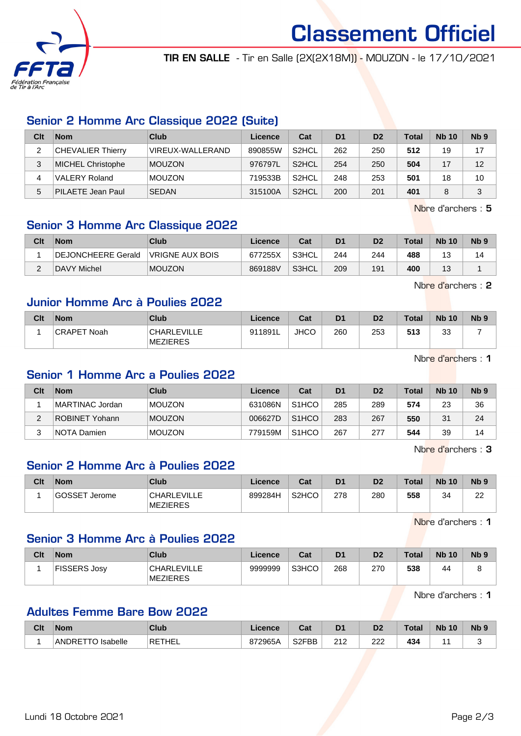

Classement Officiel

TIR EN SALLE - Tir en Salle (2X(2X18M)) - MOUZON - le 17/10/2021

# Senior 2 Homme Arc Classique 2022 (Suite)

| Clt | <b>Nom</b>               | Club             | Licence | Cat                | D <sub>1</sub> | D <sub>2</sub> | <b>Total</b> | <b>Nb 10</b> | Nb <sub>9</sub> |
|-----|--------------------------|------------------|---------|--------------------|----------------|----------------|--------------|--------------|-----------------|
| ◠   | <b>CHEVALIER Thierry</b> | VIREUX-WALLERAND | 890855W | S <sub>2</sub> HCL | 262            | 250            | 512          | 19           | 17              |
| 3   | <b>MICHEL Christophe</b> | <b>MOUZON</b>    | 976797L | S <sub>2</sub> HCL | 254            | 250            | 504          |              | 12              |
| 4   | <b>VALERY Roland</b>     | <b>MOUZON</b>    | 719533B | S <sub>2</sub> HCL | 248            | 253            | 501          | 18           | 10              |
| 5   | <b>PILAETE Jean Paul</b> | <b>SEDAN</b>     | 315100A | S <sub>2</sub> HCL | 200            | 201            | 401          |              | 3               |

Nbre d'archers : 5

# Senior 3 Homme Arc Classique 2022

| Clt | <b>Nom</b>         | Club                   | Licence | Cat   | D <sub>1</sub> | D <sub>2</sub> | $\tau$ otal | <b>Nb 10</b> | N <sub>b</sub> <sub>9</sub> |
|-----|--------------------|------------------------|---------|-------|----------------|----------------|-------------|--------------|-----------------------------|
|     | DEJONCHEERE Gerald | <b>VRIGNE AUX BOIS</b> | 677255X | S3HCL | 244            | 244            | 488         | J            |                             |
| ⌒   | DAVY Michel        | <b>MOUZON</b>          | 869188V | S3HCL | 209            | 191            | 400         | J            |                             |

Nbre d'archers : 2

## Junior Homme Arc à Poulies 2022

| Clt | <b>Nom</b>         | <b>Club</b>                           | Licence | Cat         | D <sub>1</sub> | D <sub>2</sub> | <b>Total</b> | <b>Nb 10</b> | Nb <sub>5</sub> |
|-----|--------------------|---------------------------------------|---------|-------------|----------------|----------------|--------------|--------------|-----------------|
|     | <b>CRAPET Noah</b> | <b>CHARLEVILLE</b><br><b>MEZIERES</b> | 911891L | <b>JHCO</b> | 260            | 253            | 513          | $\sim$<br>ບປ |                 |

Nbre d'archers : 1

### Senior 1 Homme Arc a Poulies 2022

| Clt | <b>Nom</b>      | Club          | Licence | Cat                | D <sub>1</sub> | D <sub>2</sub> | <b>Total</b> | <b>Nb 10</b> | Nb <sub>9</sub> |
|-----|-----------------|---------------|---------|--------------------|----------------|----------------|--------------|--------------|-----------------|
|     | MARTINAC Jordan | <b>MOUZON</b> | 631086N | S <sub>1</sub> HCO | 285            | 289            | 574          | 23           | 36              |
|     | ROBINET Yohann  | <b>MOUZON</b> | 006627D | S <sub>1</sub> HCO | 283            | 267            | 550          | 31           | 24              |
|     | NOTA Damien     | <b>MOUZON</b> | 779159M | S <sub>1</sub> HCO | 267            | 277            | 544          | 39           | 14              |

Nbre d'archers : 3

# Senior 2 Homme Arc à Poulies 2022

| Clt | <b>Nom</b>           | Club                    | Licence | Cat                | D <sub>1</sub> | D2  | <b>Total</b> | <b>Nb 10</b> | N <sub>b</sub> <sub>9</sub> |
|-----|----------------------|-------------------------|---------|--------------------|----------------|-----|--------------|--------------|-----------------------------|
|     | <b>GOSSET Jerome</b> | CHARLEVILLE<br>MEZIERES | 899284H | S <sub>2</sub> HCO | 278            | 280 | 558          | 34           | nn<br>∠∠                    |

Nbre d'archers : 1

### Senior 3 Homme Arc à Poulies 2022

| Clt | <b>Nom</b>          | Club                                  | Licence | Cat   | D <sub>1</sub> | D <sub>2</sub> | Total | <b>Nb 10</b> | N <sub>b</sub> <sub>9</sub> |
|-----|---------------------|---------------------------------------|---------|-------|----------------|----------------|-------|--------------|-----------------------------|
|     | <b>FISSERS Josy</b> | <b>CHARLEVILLE</b><br><b>MEZIERES</b> | 9999999 | S3HCO | 268            | 270            | 538   | 44           | ັ                           |

Nbre d'archers : 1

# Adultes Femme Bare Bow 2022

| Clt | <b>Nom</b>                            | <b>Club</b> | Licence | ่ ี่ ี่ ่า ่<br>uai | D <sub>1</sub> | D2         | <b>Total</b>         | <b>Nb</b><br>10 | <b>N<sub>b</sub></b> |
|-----|---------------------------------------|-------------|---------|---------------------|----------------|------------|----------------------|-----------------|----------------------|
|     | <b>Isabelle</b><br>ANDRE <sup>-</sup> | RETHEL      | 872965A | S <sub>2</sub> FBB  | 242<br>ے ا     | רממ<br>∠∠∠ | 434<br>$\sim$ $\sim$ |                 |                      |